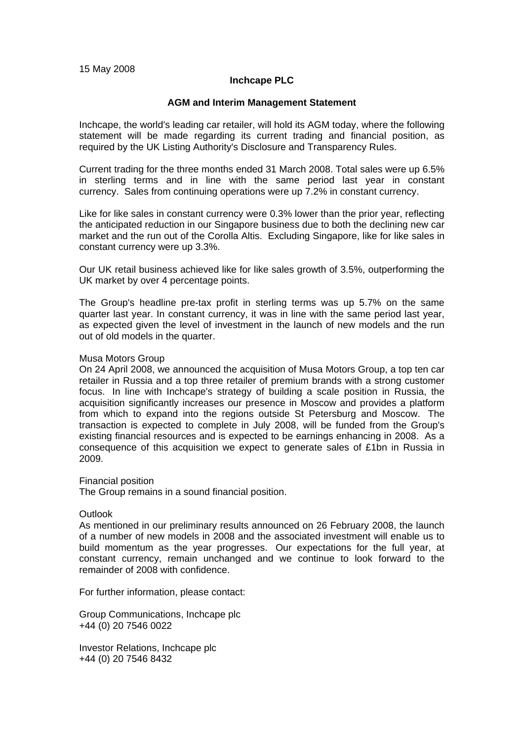# **Inchcape PLC**

### **AGM and Interim Management Statement**

Inchcape, the world's leading car retailer, will hold its AGM today, where the following statement will be made regarding its current trading and financial position, as required by the UK Listing Authority's Disclosure and Transparency Rules.

Current trading for the three months ended 31 March 2008. Total sales were up 6.5% in sterling terms and in line with the same period last year in constant currency. Sales from continuing operations were up 7.2% in constant currency.

Like for like sales in constant currency were 0.3% lower than the prior year, reflecting the anticipated reduction in our Singapore business due to both the declining new car market and the run out of the Corolla Altis. Excluding Singapore, like for like sales in constant currency were up 3.3%.

Our UK retail business achieved like for like sales growth of 3.5%, outperforming the UK market by over 4 percentage points.

The Group's headline pre-tax profit in sterling terms was up 5.7% on the same quarter last year. In constant currency, it was in line with the same period last year, as expected given the level of investment in the launch of new models and the run out of old models in the quarter.

### Musa Motors Group

On 24 April 2008, we announced the acquisition of Musa Motors Group, a top ten car retailer in Russia and a top three retailer of premium brands with a strong customer focus. In line with Inchcape's strategy of building a scale position in Russia, the acquisition significantly increases our presence in Moscow and provides a platform from which to expand into the regions outside St Petersburg and Moscow. The transaction is expected to complete in July 2008, will be funded from the Group's existing financial resources and is expected to be earnings enhancing in 2008. As a consequence of this acquisition we expect to generate sales of £1bn in Russia in 2009.

Financial position

The Group remains in a sound financial position.

### **Outlook**

As mentioned in our preliminary results announced on 26 February 2008, the launch of a number of new models in 2008 and the associated investment will enable us to build momentum as the year progresses. Our expectations for the full year, at constant currency, remain unchanged and we continue to look forward to the remainder of 2008 with confidence.

For further information, please contact:

Group Communications, Inchcape plc +44 (0) 20 7546 0022

Investor Relations, Inchcape plc +44 (0) 20 7546 8432